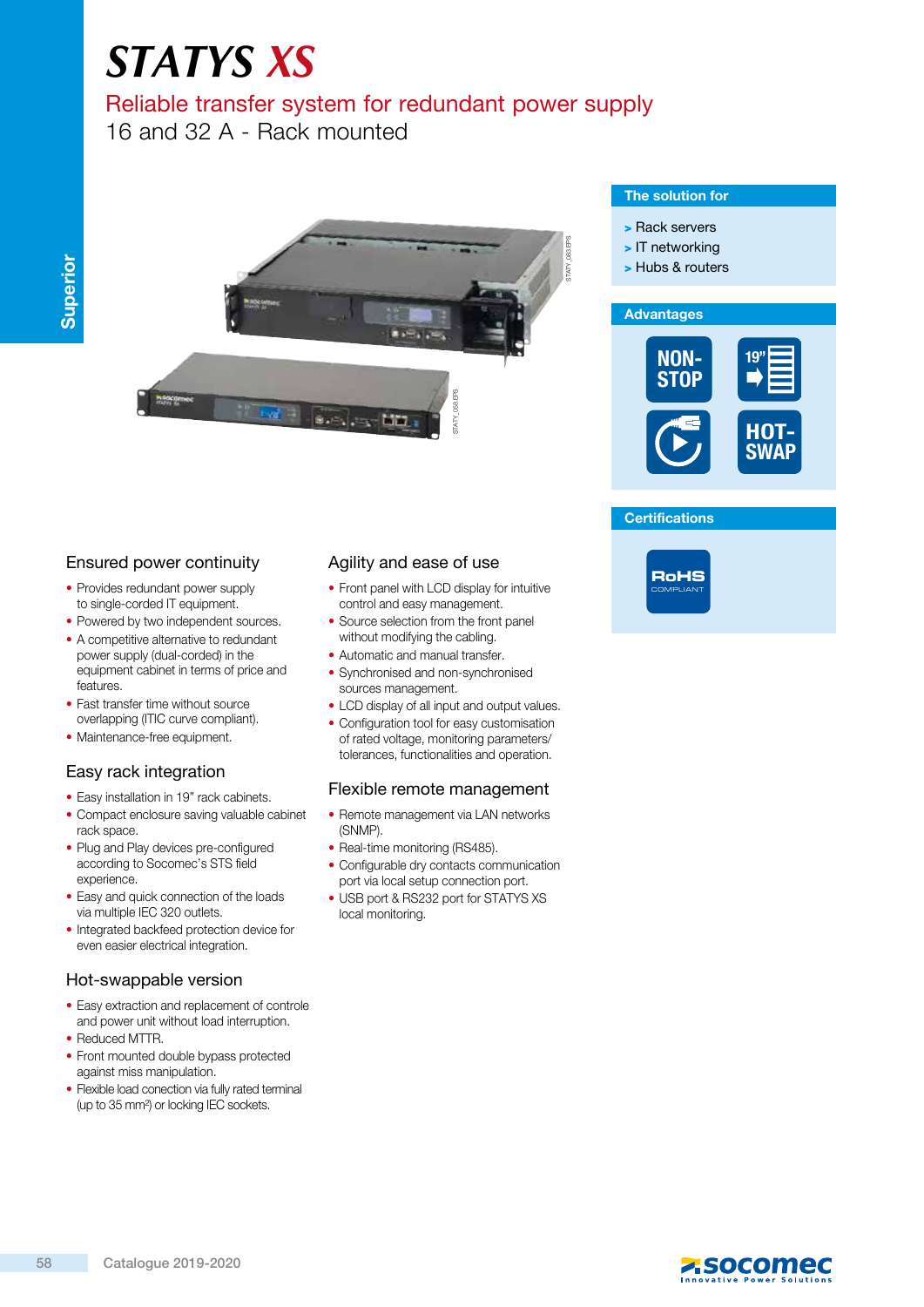# *STATYS XS*

# Reliable transfer system for redundant power supply

16 and 32 A - Rack mounted



# Ensured power continuity

- Provides redundant power supply to single-corded IT equipment.
- Powered by two independent sources.
- A competitive alternative to redundant power supply (dual-corded) in the equipment cabinet in terms of price and features.
- Fast transfer time without source overlapping (ITIC curve compliant).
- Maintenance-free equipment.

# Easy rack integration

- Easy installation in 19" rack cabinets.
- Compact enclosure saving valuable cabinet rack space.
- Plug and Play devices pre-configured according to Socomec's STS field experience.
- Easy and quick connection of the loads via multiple IEC 320 outlets.
- Integrated backfeed protection device for even easier electrical integration.

#### Hot-swappable version

- Easy extraction and replacement of controle and power unit without load interruption.
- Reduced MTTR.
- Front mounted double bypass protected against miss manipulation.
- Flexible load conection via fully rated terminal (up to 35 mm²) or locking IEC sockets.

### Agility and ease of use

- Front panel with LCD display for intuitive control and easy management.
- Source selection from the front panel without modifying the cabling.
- Automatic and manual transfer.
- synchronised and non-synchronised sources management.
- LCD display of all input and output values.
- Configuration tool for easy customisation of rated voltage, monitoring parameters/ tolerances, functionalities and operation.

#### Flexible remote management

- Remote management via LaN networks (sNMp).
- Real-time monitoring (RS485).
- Configurable dry contacts communication port via local setup connection port.
- USB port & RS232 port for STATYS XS local monitoring.

#### The solution for

- > Rack servers
- > IT networking
- > Hubs & routers



#### **Certifications**